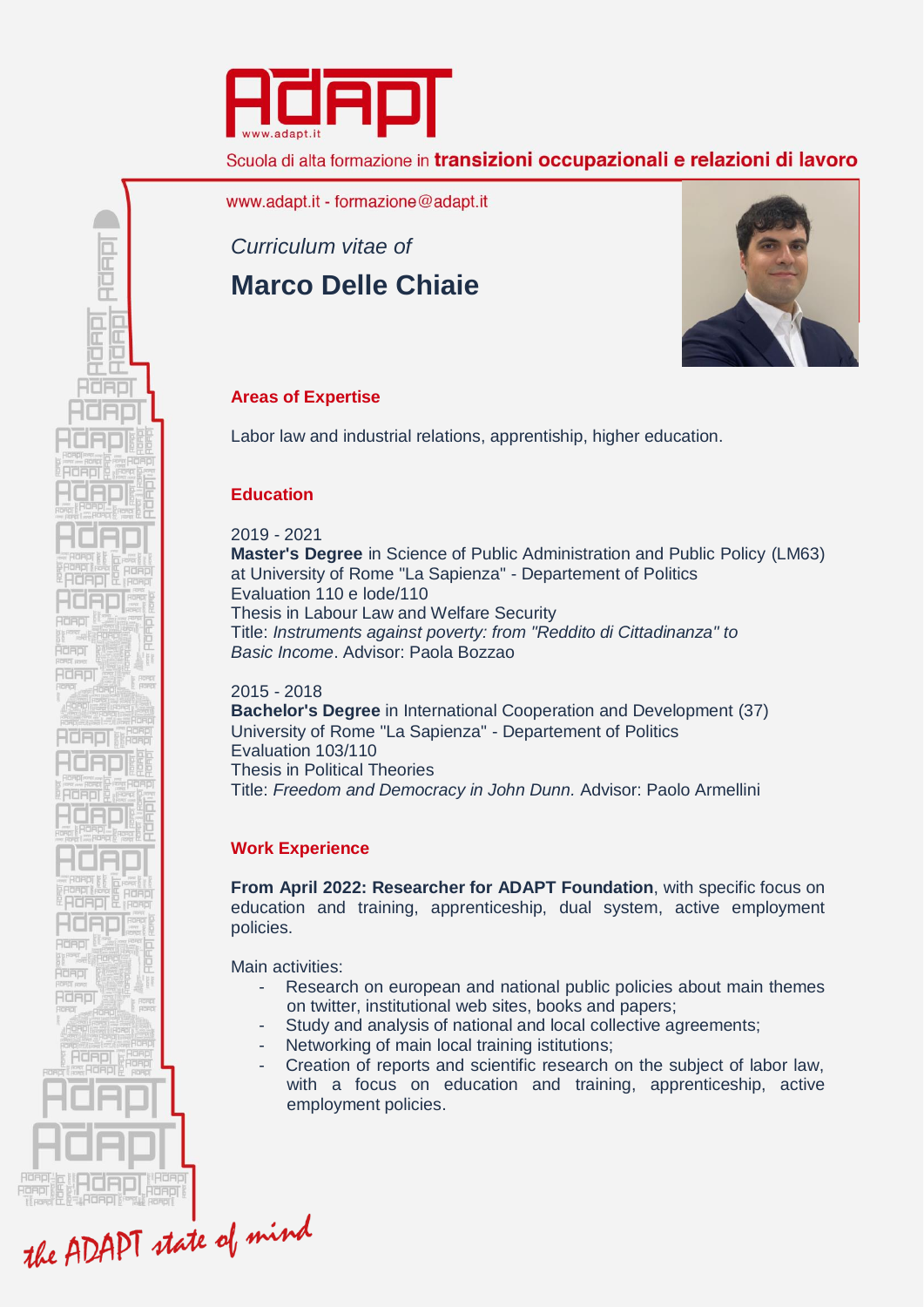

Scuola di alta formazione in transizioni occupazionali e relazioni di lavoro

www.adapt.it - formazione@adapt.it

*Curriculum vitae of*  **Marco Delle Chiaie**



## **Areas of Expertise**

Labor law and industrial relations, apprentiship, higher education.

## **Education**

RORD

e iū Œ HORD

**ROBER** Řdapj **Adapi** 

HOADIN

**Adeol** idaol RORDI 2019 - 2021 **Master's Degree** in Science of Public Administration and Public Policy (LM63) at University of Rome "La Sapienza" - Departement of Politics Evaluation 110 e lode/110 Thesis in Labour Law and Welfare Security Title: *Instruments against poverty: from "Reddito di Cittadinanza" to Basic Income*. Advisor: Paola Bozzao

2015 - 2018 **Bachelor's Degree** in International Cooperation and Development (37) University of Rome "La Sapienza" - Departement of Politics Evaluation 103/110 Thesis in Political Theories Title: *Freedom and Democracy in John Dunn.* Advisor: Paolo Armellini

# **Work Experience**

**From April 2022: Researcher for ADAPT Foundation**, with specific focus on education and training, apprenticeship, dual system, active employment policies.

Main activities:

- Research on european and national public policies about main themes on twitter, institutional web sites, books and papers;
- Study and analysis of national and local collective agreements;
- Networking of main local training istitutions:
- Creation of reports and scientific research on the subject of labor law. with a focus on education and training, apprenticeship, active employment policies.

the ADAPT state of mind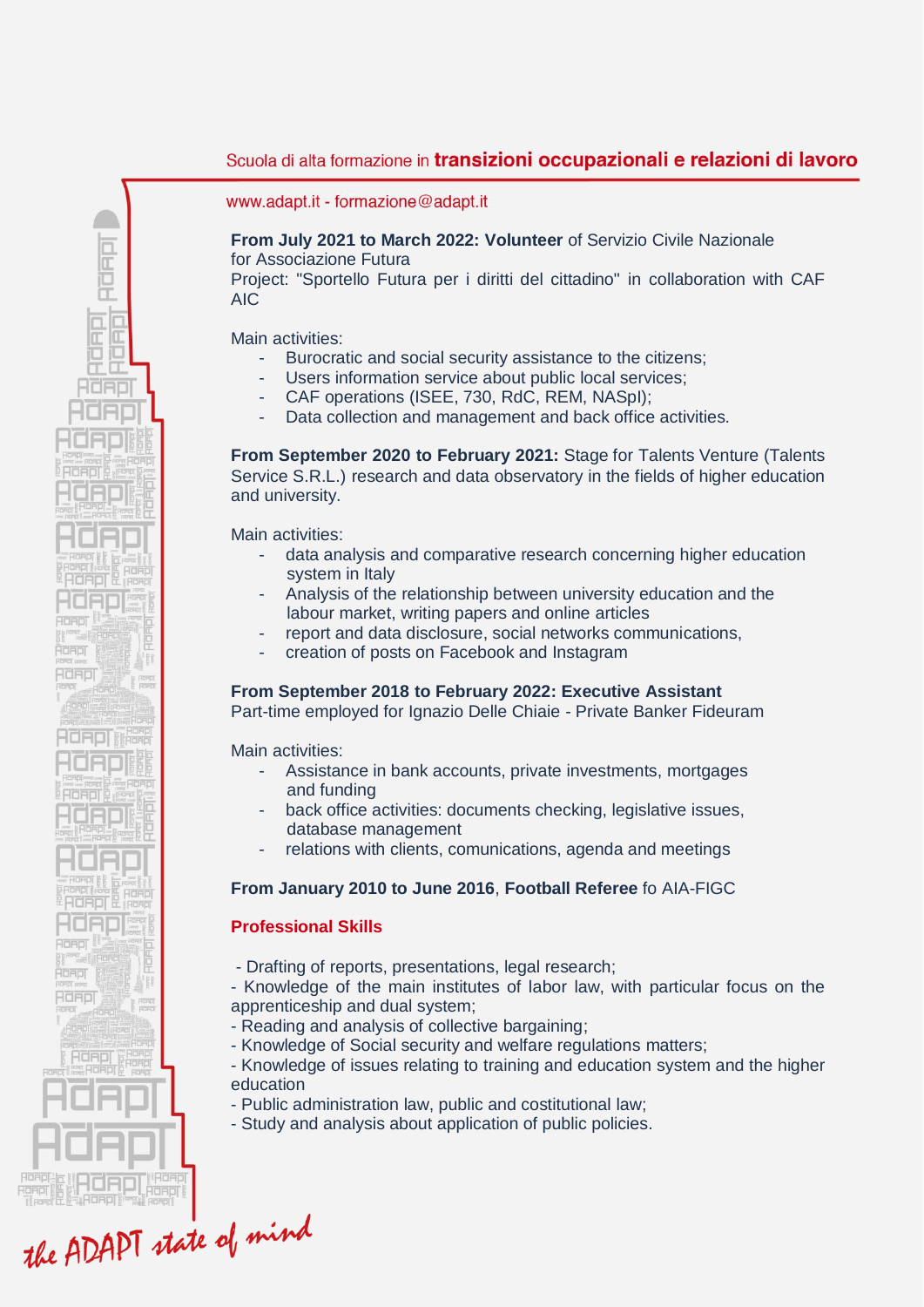## Scuola di alta formazione in transizioni occupazionali e relazioni di lavoro

www.adapt.it - formazione@adapt.it

### **From July 2021 to March 2022: Volunteer** of Servizio Civile Nazionale for Associazione Futura

Project: "Sportello Futura per i diritti del cittadino" in collaboration with CAF AIC

Main activities:

RURIT

 $\frac{\square}{\square}$  $\overline{\mathbb{R}}$ iū Œ HORD

**Adeol** Řand **Adapi** 

**RIGADI** 

40AD **Adeol READE Adapi** 

- Burocratic and social security assistance to the citizens;
- Users information service about public local services;
	- CAF operations (ISEE, 730, RdC, REM, NASpI);
- Data collection and management and back office activities.

**From September 2020 to February 2021:** Stage for Talents Venture (Talents Service S.R.L.) research and data observatory in the fields of higher education and university.

Main activities:

- data analysis and comparative research concerning higher education system in Italy
- Analysis of the relationship between university education and the labour market, writing papers and online articles
- report and data disclosure, social networks communications,
- creation of posts on Facebook and Instagram

#### **From September 2018 to February 2022: Executive Assistant**

Part-time employed for Ignazio Delle Chiaie - Private Banker Fideuram

Main activities:

- Assistance in bank accounts, private investments, mortgages and funding
- back office activities: documents checking, legislative issues, database management
- relations with clients, comunications, agenda and meetings

#### **From January 2010 to June 2016**, **Football Referee** fo AIA-FIGC

#### **Professional Skills**

- Drafting of reports, presentations, legal research;

- Knowledge of the main institutes of labor law, with particular focus on the apprenticeship and dual system;

- Reading and analysis of collective bargaining;
- Knowledge of Social security and welfare regulations matters;

- Knowledge of issues relating to training and education system and the higher education

- Public administration law, public and costitutional law;
- Study and analysis about application of public policies.

the ADAPT state of mind